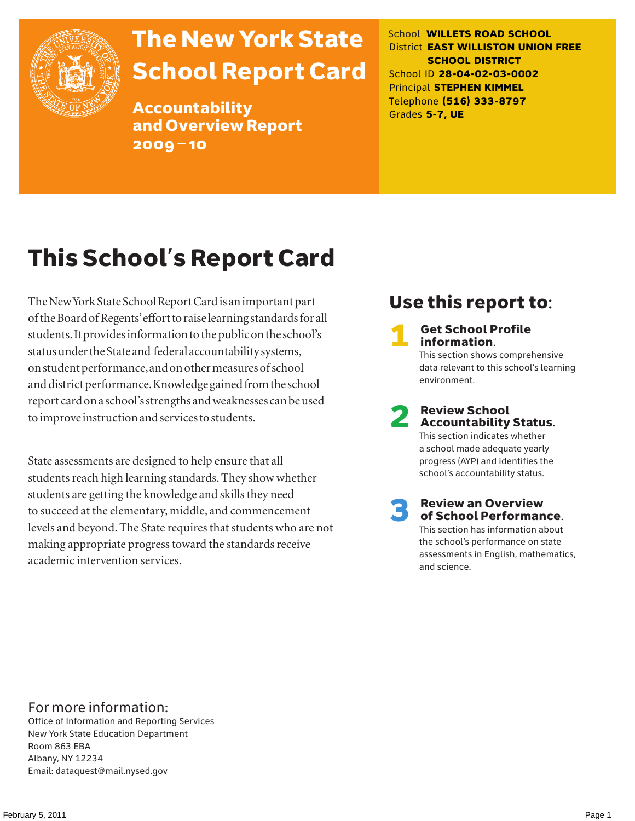

# The New York State School Report Card

Accountability and Overview Report 2009–10

School **WILLETS ROAD SCHOOL** District **EAST WILLISTON UNION FREE SCHOOL DISTRICT** School ID **28-04-02-03-0002** Principal **STEPHEN KIMMEL** Telephone **(516) 333-8797** Grades **5-7, UE**

# This School's Report Card

The New York State School Report Card is an important part of the Board of Regents' effort to raise learning standards for all students. It provides information to the public on the school's status under the State and federal accountability systems, on student performance, and on other measures of school and district performance. Knowledge gained from the school report card on a school's strengths and weaknesses can be used to improve instruction and services to students.

State assessments are designed to help ensure that all students reach high learning standards. They show whether students are getting the knowledge and skills they need to succeed at the elementary, middle, and commencement levels and beyond. The State requires that students who are not making appropriate progress toward the standards receive academic intervention services.

### Use this report to:

**Get School Profile** information. This section shows comprehensive data relevant to this school's learning environment.

# 2 Review School Accountability Status.

This section indicates whether a school made adequate yearly progress (AYP) and identifies the school's accountability status.

3 Review an Overview of School Performance. This section has information about

the school's performance on state assessments in English, mathematics, and science.

### For more information:

Office of Information and Reporting Services New York State Education Department Room 863 EBA Albany, NY 12234 Email: dataquest@mail.nysed.gov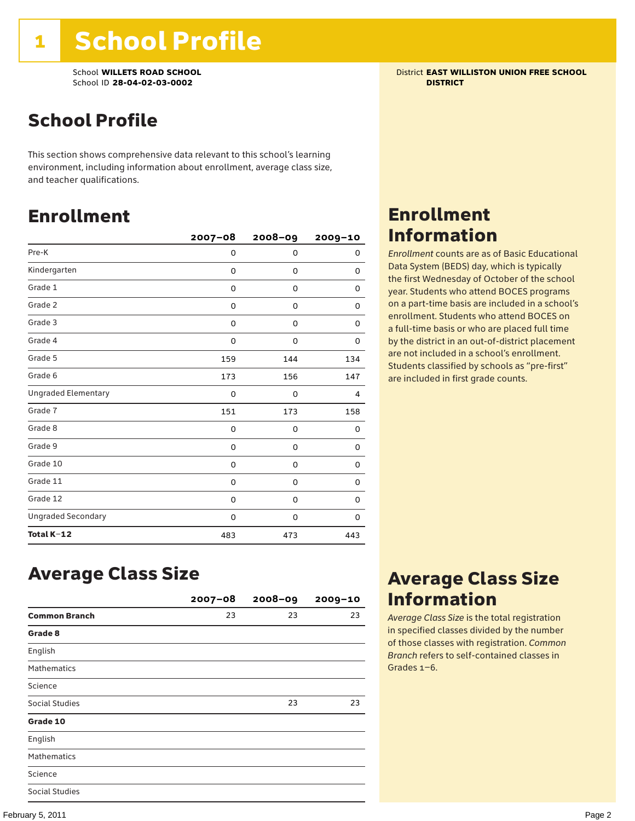School **WILLETS ROAD SCHOOL** District **EAST WILLISTON UNION FREE SCHOOL** School ID **28-04-02-03-0002 DISTRICT**

### School Profile

This section shows comprehensive data relevant to this school's learning environment, including information about enrollment, average class size, and teacher qualifications.

### Enrollment

|                            | $2007 - 08$ | 2008-09 | 2009-10 |
|----------------------------|-------------|---------|---------|
| Pre-K                      | 0           | 0       | 0       |
| Kindergarten               | 0           | 0       | 0       |
| Grade 1                    | 0           | 0       | 0       |
| Grade 2                    | 0           | 0       | 0       |
| Grade 3                    | 0           | 0       | 0       |
| Grade 4                    | 0           | 0       | 0       |
| Grade 5                    | 159         | 144     | 134     |
| Grade 6                    | 173         | 156     | 147     |
| <b>Ungraded Elementary</b> | 0           | 0       | 4       |
| Grade 7                    | 151         | 173     | 158     |
| Grade 8                    | 0           | 0       | 0       |
| Grade 9                    | 0           | 0       | 0       |
| Grade 10                   | 0           | 0       | 0       |
| Grade 11                   | 0           | 0       | 0       |
| Grade 12                   | 0           | 0       | 0       |
| <b>Ungraded Secondary</b>  | 0           | 0       | 0       |
| Total K-12                 | 483         | 473     | 443     |

Enrollment Information

*Enrollment* counts are as of Basic Educational Data System (BEDS) day, which is typically the first Wednesday of October of the school year. Students who attend BOCES programs on a part-time basis are included in a school's enrollment. Students who attend BOCES on a full-time basis or who are placed full time by the district in an out-of-district placement are not included in a school's enrollment. Students classified by schools as "pre-first" are included in first grade counts.

### Average Class Size

|                       | $2007 - 08$ | $2008 - 09$ | $2009 - 10$ |
|-----------------------|-------------|-------------|-------------|
| <b>Common Branch</b>  | 23          | 23          | 23          |
| Grade 8               |             |             |             |
| English               |             |             |             |
| <b>Mathematics</b>    |             |             |             |
| Science               |             |             |             |
| <b>Social Studies</b> |             | 23          | 23          |
| Grade 10              |             |             |             |
| English               |             |             |             |
| <b>Mathematics</b>    |             |             |             |
| Science               |             |             |             |
| Social Studies        |             |             |             |

### Average Class Size Information

*Average Class Size* is the total registration in specified classes divided by the number of those classes with registration. *Common Branch* refers to self-contained classes in Grades 1–6.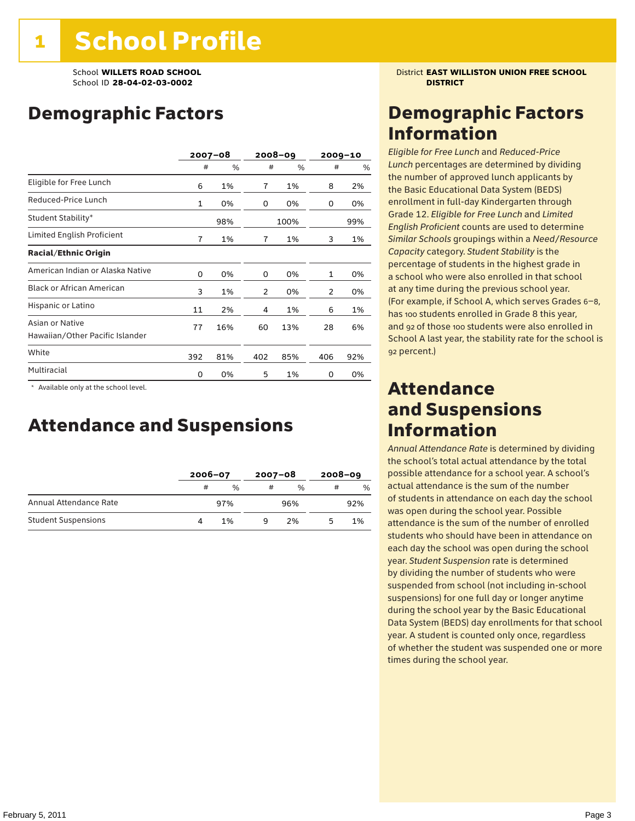### Demographic Factors

|                                                    |     | $2007 - 08$ |                | 2008-09 |     | $2009 - 10$ |
|----------------------------------------------------|-----|-------------|----------------|---------|-----|-------------|
|                                                    | #   | %           | #              | %       | #   | %           |
| Eligible for Free Lunch                            | 6   | 1%          | $\overline{7}$ | 1%      | 8   | 2%          |
| Reduced-Price Lunch                                | 1   | 0%          | 0              | 0%      | 0   | 0%          |
| Student Stability*                                 |     | 98%         |                | 100%    |     | 99%         |
| Limited English Proficient                         | 7   | 1%          | 7              | 1%      | 3   | 1%          |
| <b>Racial/Ethnic Origin</b>                        |     |             |                |         |     |             |
| American Indian or Alaska Native                   | 0   | 0%          | 0              | 0%      | 1   | 0%          |
| <b>Black or African American</b>                   | 3   | 1%          | 2              | 0%      | 2   | 0%          |
| Hispanic or Latino                                 | 11  | 2%          | 4              | 1%      | 6   | 1%          |
| Asian or Native<br>Hawaiian/Other Pacific Islander | 77  | 16%         | 60             | 13%     | 28  | 6%          |
| White                                              | 392 | 81%         | 402            | 85%     | 406 | 92%         |
| Multiracial                                        | 0   | 0%          | 5              | 1%      | 0   | 0%          |

 \* Available only at the school level.

### Attendance and Suspensions

|                            |   | $2006 - 07$   |   | $2007 - 08$   |   | $2008 - 09$ |  |
|----------------------------|---|---------------|---|---------------|---|-------------|--|
|                            | # | $\frac{0}{0}$ | # | $\frac{0}{6}$ | # | %           |  |
| Annual Attendance Rate     |   | 97%           |   | 96%           |   | 92%         |  |
| <b>Student Suspensions</b> |   | 1%            | a | 2%            |   | 1%          |  |

School **WILLETS ROAD SCHOOL** District **EAST WILLISTON UNION FREE SCHOOL**

### Demographic Factors Information

*Eligible for Free Lunch* and *Reduced*-*Price Lunch* percentages are determined by dividing the number of approved lunch applicants by the Basic Educational Data System (BEDS) enrollment in full-day Kindergarten through Grade 12. *Eligible for Free Lunch* and *Limited English Proficient* counts are used to determine *Similar Schools* groupings within a *Need*/*Resource Capacity* category. *Student Stability* is the percentage of students in the highest grade in a school who were also enrolled in that school at any time during the previous school year. (For example, if School A, which serves Grades 6–8, has 100 students enrolled in Grade 8 this year, and 92 of those 100 students were also enrolled in School A last year, the stability rate for the school is 92 percent.)

### Attendance and Suspensions Information

*Annual Attendance Rate* is determined by dividing the school's total actual attendance by the total possible attendance for a school year. A school's actual attendance is the sum of the number of students in attendance on each day the school was open during the school year. Possible attendance is the sum of the number of enrolled students who should have been in attendance on each day the school was open during the school year. *Student Suspension* rate is determined by dividing the number of students who were suspended from school (not including in-school suspensions) for one full day or longer anytime during the school year by the Basic Educational Data System (BEDS) day enrollments for that school year. A student is counted only once, regardless of whether the student was suspended one or more times during the school year.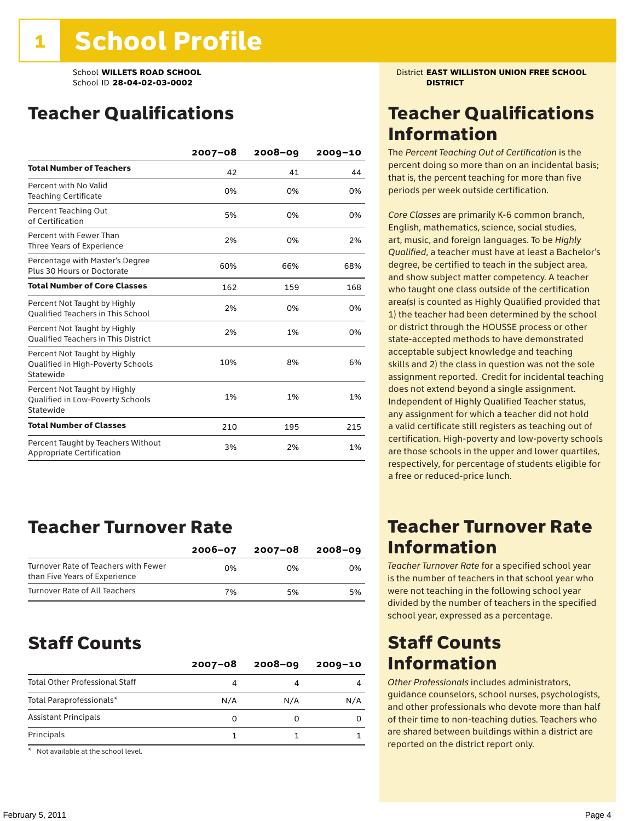### Teacher Qualifications

|                                                                                | $2007 - 08$ | 2008-09 | $2009 - 10$ |
|--------------------------------------------------------------------------------|-------------|---------|-------------|
| <b>Total Number of Teachers</b>                                                | 42          | 41      | 44          |
| Percent with No Valid<br><b>Teaching Certificate</b>                           | 0%          | 0%      | 0%          |
| Percent Teaching Out<br>of Certification                                       | 5%          | 0%      | 0%          |
| Percent with Fewer Than<br>Three Years of Experience                           | 2%          | 0%      | 2%          |
| Percentage with Master's Degree<br>Plus 30 Hours or Doctorate                  | 60%         | 66%     | 68%         |
| <b>Total Number of Core Classes</b>                                            | 162         | 159     | 168         |
| Percent Not Taught by Highly<br><b>Oualified Teachers in This School</b>       | 2%          | 0%      | 0%          |
| Percent Not Taught by Highly<br><b>Oualified Teachers in This District</b>     | 2%          | 1%      | 0%          |
| Percent Not Taught by Highly<br>Qualified in High-Poverty Schools<br>Statewide | 10%         | 8%      | 6%          |
| Percent Not Taught by Highly<br>Qualified in Low-Poverty Schools<br>Statewide  | 1%          | 1%      | 1%          |
| <b>Total Number of Classes</b>                                                 | 210         | 195     | 215         |
| Percent Taught by Teachers Without<br>Appropriate Certification                | 3%          | 2%      | 1%          |

### Teacher Turnover Rate

|                                                                       | $2006 - 07$ | 2007-08 | 2008-09 |
|-----------------------------------------------------------------------|-------------|---------|---------|
| Turnover Rate of Teachers with Fewer<br>than Five Years of Experience | በ%          | በ%      | 0%      |
| Turnover Rate of All Teachers                                         | 7%          | 5%      | 5%      |

### Staff Counts

|                                       | $2007 - 08$ | $2008 - 09$ | $2009 - 10$ |
|---------------------------------------|-------------|-------------|-------------|
| <b>Total Other Professional Staff</b> |             |             |             |
| Total Paraprofessionals*              | N/A         | N/A         | N/A         |
| <b>Assistant Principals</b>           | 0           |             |             |
| Principals                            |             |             |             |
| $-1$                                  |             |             |             |

\* Not available at the school level.

School **WILLETS ROAD SCHOOL** District **EAST WILLISTON UNION FREE SCHOOL**

### Teacher Qualifications Information

The *Percent Teaching Out of Certification* is the percent doing so more than on an incidental basis; that is, the percent teaching for more than five periods per week outside certification.

*Core Classes* are primarily K-6 common branch, English, mathematics, science, social studies, art, music, and foreign languages. To be *Highly Qualified*, a teacher must have at least a Bachelor's degree, be certified to teach in the subject area, and show subject matter competency. A teacher who taught one class outside of the certification area(s) is counted as Highly Qualified provided that 1) the teacher had been determined by the school or district through the HOUSSE process or other state-accepted methods to have demonstrated acceptable subject knowledge and teaching skills and 2) the class in question was not the sole assignment reported. Credit for incidental teaching does not extend beyond a single assignment. Independent of Highly Qualified Teacher status, any assignment for which a teacher did not hold a valid certificate still registers as teaching out of certification. High-poverty and low-poverty schools are those schools in the upper and lower quartiles, respectively, for percentage of students eligible for a free or reduced-price lunch.

### Teacher Turnover Rate Information

*Teacher Turnover Rate* for a specified school year is the number of teachers in that school year who were not teaching in the following school year divided by the number of teachers in the specified school year, expressed as a percentage.

### Staff Counts Information

*Other Professionals* includes administrators, guidance counselors, school nurses, psychologists, and other professionals who devote more than half of their time to non-teaching duties. Teachers who are shared between buildings within a district are reported on the district report only.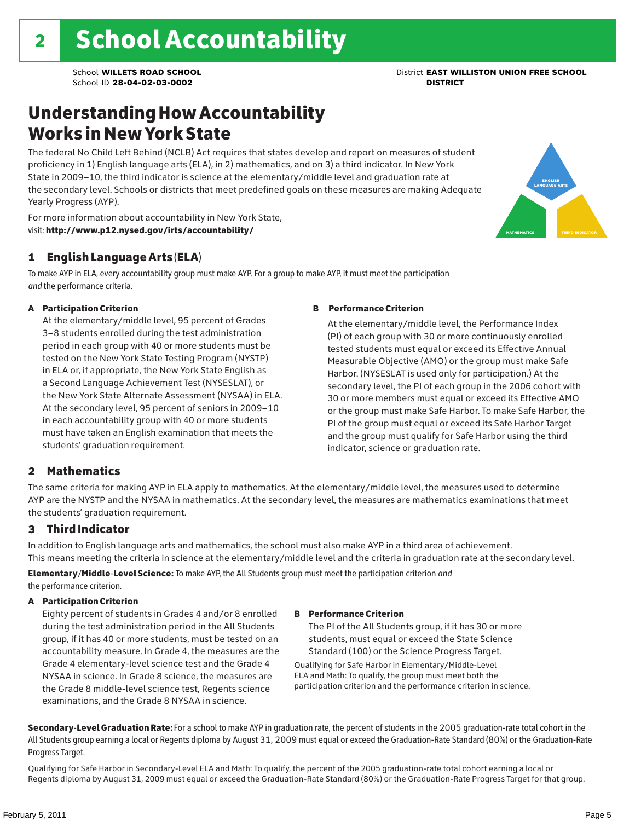### Understanding How Accountability Works in New York State

The federal No Child Left Behind (NCLB) Act requires that states develop and report on measures of student proficiency in 1) English language arts (ELA), in 2) mathematics, and on 3) a third indicator. In New York State in 2009–10, the third indicator is science at the elementary/middle level and graduation rate at the secondary level. Schools or districts that meet predefined goals on these measures are making Adequate Yearly Progress (AYP).



### 1 English Language Arts (ELA)

To make AYP in ELA, every accountability group must make AYP. For a group to make AYP, it must meet the participation *and* the performance criteria.

#### A Participation Criterion

At the elementary/middle level, 95 percent of Grades 3–8 students enrolled during the test administration period in each group with 40 or more students must be tested on the New York State Testing Program (NYSTP) in ELA or, if appropriate, the New York State English as a Second Language Achievement Test (NYSESLAT), or the New York State Alternate Assessment (NYSAA) in ELA. At the secondary level, 95 percent of seniors in 2009–10 in each accountability group with 40 or more students must have taken an English examination that meets the students' graduation requirement.

#### B Performance Criterion

At the elementary/middle level, the Performance Index (PI) of each group with 30 or more continuously enrolled tested students must equal or exceed its Effective Annual Measurable Objective (AMO) or the group must make Safe Harbor. (NYSESLAT is used only for participation.) At the secondary level, the PI of each group in the 2006 cohort with 30 or more members must equal or exceed its Effective AMO or the group must make Safe Harbor. To make Safe Harbor, the PI of the group must equal or exceed its Safe Harbor Target and the group must qualify for Safe Harbor using the third indicator, science or graduation rate.

### 2 Mathematics

The same criteria for making AYP in ELA apply to mathematics. At the elementary/middle level, the measures used to determine AYP are the NYSTP and the NYSAA in mathematics. At the secondary level, the measures are mathematics examinations that meet the students' graduation requirement.

### 3 Third Indicator

In addition to English language arts and mathematics, the school must also make AYP in a third area of achievement. This means meeting the criteria in science at the elementary/middle level and the criteria in graduation rate at the secondary level.

Elementary/Middle-Level Science: To make AYP, the All Students group must meet the participation criterion *and* the performance criterion.

#### A Participation Criterion

Eighty percent of students in Grades 4 and/or 8 enrolled during the test administration period in the All Students group, if it has 40 or more students, must be tested on an accountability measure. In Grade 4, the measures are the Grade 4 elementary-level science test and the Grade 4 NYSAA in science. In Grade 8 science, the measures are the Grade 8 middle-level science test, Regents science examinations, and the Grade 8 NYSAA in science.

#### B Performance Criterion

The PI of the All Students group, if it has 30 or more students, must equal or exceed the State Science Standard (100) or the Science Progress Target.

Qualifying for Safe Harbor in Elementary/Middle-Level ELA and Math: To qualify, the group must meet both the participation criterion and the performance criterion in science.

Secondary-Level Graduation Rate: For a school to make AYP in graduation rate, the percent of students in the 2005 graduation-rate total cohort in the All Students group earning a local or Regents diploma by August 31, 2009 must equal or exceed the Graduation-Rate Standard (80%) or the Graduation-Rate Progress Target.

Qualifying for Safe Harbor in Secondary-Level ELA and Math: To qualify, the percent of the 2005 graduation-rate total cohort earning a local or Regents diploma by August 31, 2009 must equal or exceed the Graduation-Rate Standard (80%) or the Graduation-Rate Progress Target for that group.

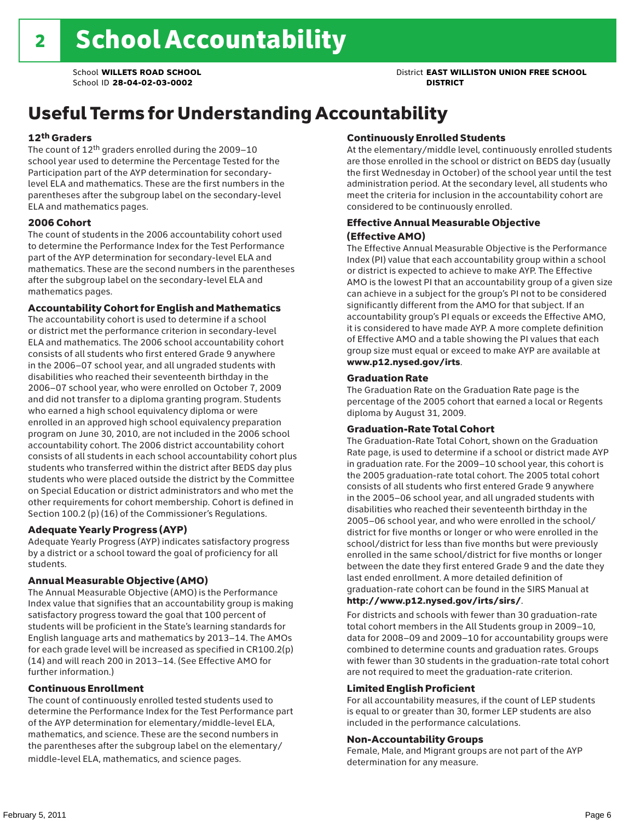### Useful Terms for Understanding Accountability

#### 12th Graders

The count of 12th graders enrolled during the 2009–10 school year used to determine the Percentage Tested for the Participation part of the AYP determination for secondarylevel ELA and mathematics. These are the first numbers in the parentheses after the subgroup label on the secondary-level ELA and mathematics pages.

#### 2006 Cohort

The count of students in the 2006 accountability cohort used to determine the Performance Index for the Test Performance part of the AYP determination for secondary-level ELA and mathematics. These are the second numbers in the parentheses after the subgroup label on the secondary-level ELA and mathematics pages.

#### Accountability Cohort for English and Mathematics

The accountability cohort is used to determine if a school or district met the performance criterion in secondary-level ELA and mathematics. The 2006 school accountability cohort consists of all students who first entered Grade 9 anywhere in the 2006–07 school year, and all ungraded students with disabilities who reached their seventeenth birthday in the 2006–07 school year, who were enrolled on October 7, 2009 and did not transfer to a diploma granting program. Students who earned a high school equivalency diploma or were enrolled in an approved high school equivalency preparation program on June 30, 2010, are not included in the 2006 school accountability cohort. The 2006 district accountability cohort consists of all students in each school accountability cohort plus students who transferred within the district after BEDS day plus students who were placed outside the district by the Committee on Special Education or district administrators and who met the other requirements for cohort membership. Cohort is defined in Section 100.2 (p) (16) of the Commissioner's Regulations.

#### Adequate Yearly Progress (AYP)

Adequate Yearly Progress (AYP) indicates satisfactory progress by a district or a school toward the goal of proficiency for all students.

#### Annual Measurable Objective (AMO)

The Annual Measurable Objective (AMO) is the Performance Index value that signifies that an accountability group is making satisfactory progress toward the goal that 100 percent of students will be proficient in the State's learning standards for English language arts and mathematics by 2013–14. The AMOs for each grade level will be increased as specified in CR100.2(p) (14) and will reach 200 in 2013–14. (See Effective AMO for further information.)

#### Continuous Enrollment

The count of continuously enrolled tested students used to determine the Performance Index for the Test Performance part of the AYP determination for elementary/middle-level ELA, mathematics, and science. These are the second numbers in the parentheses after the subgroup label on the elementary/ middle-level ELA, mathematics, and science pages.

#### Continuously Enrolled Students

At the elementary/middle level, continuously enrolled students are those enrolled in the school or district on BEDS day (usually the first Wednesday in October) of the school year until the test administration period. At the secondary level, all students who meet the criteria for inclusion in the accountability cohort are considered to be continuously enrolled.

#### Effective Annual Measurable Objective (Effective AMO)

The Effective Annual Measurable Objective is the Performance Index (PI) value that each accountability group within a school or district is expected to achieve to make AYP. The Effective AMO is the lowest PI that an accountability group of a given size can achieve in a subject for the group's PI not to be considered significantly different from the AMO for that subject. If an accountability group's PI equals or exceeds the Effective AMO, it is considered to have made AYP. A more complete definition of Effective AMO and a table showing the PI values that each group size must equal or exceed to make AYP are available at www.p12.nysed.gov/irts.

#### Graduation Rate

The Graduation Rate on the Graduation Rate page is the percentage of the 2005 cohort that earned a local or Regents diploma by August 31, 2009.

#### Graduation-Rate Total Cohort

The Graduation-Rate Total Cohort, shown on the Graduation Rate page, is used to determine if a school or district made AYP in graduation rate. For the 2009–10 school year, this cohort is the 2005 graduation-rate total cohort. The 2005 total cohort consists of all students who first entered Grade 9 anywhere in the 2005–06 school year, and all ungraded students with disabilities who reached their seventeenth birthday in the 2005–06 school year, and who were enrolled in the school/ district for five months or longer or who were enrolled in the school/district for less than five months but were previously enrolled in the same school/district for five months or longer between the date they first entered Grade 9 and the date they last ended enrollment. A more detailed definition of graduation-rate cohort can be found in the SIRS Manual at

#### http://www.p12.nysed.gov/irts/sirs/.

For districts and schools with fewer than 30 graduation-rate total cohort members in the All Students group in 2009–10, data for 2008–09 and 2009–10 for accountability groups were combined to determine counts and graduation rates. Groups with fewer than 30 students in the graduation-rate total cohort are not required to meet the graduation-rate criterion.

#### Limited English Proficient

For all accountability measures, if the count of LEP students is equal to or greater than 30, former LEP students are also included in the performance calculations.

#### Non-Accountability Groups

Female, Male, and Migrant groups are not part of the AYP determination for any measure.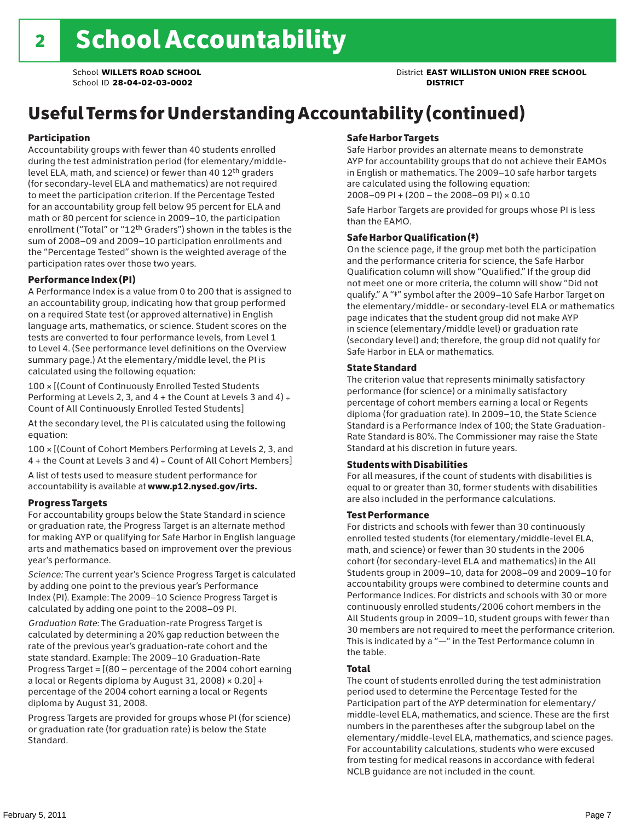## Useful Terms for Understanding Accountability (continued)

#### Participation

Accountability groups with fewer than 40 students enrolled during the test administration period (for elementary/middlelevel ELA, math, and science) or fewer than 40 12th graders (for secondary-level ELA and mathematics) are not required to meet the participation criterion. If the Percentage Tested for an accountability group fell below 95 percent for ELA and math or 80 percent for science in 2009–10, the participation enrollment ("Total" or "12th Graders") shown in the tables is the sum of 2008–09 and 2009–10 participation enrollments and the "Percentage Tested" shown is the weighted average of the participation rates over those two years.

#### Performance Index (PI)

A Performance Index is a value from 0 to 200 that is assigned to an accountability group, indicating how that group performed on a required State test (or approved alternative) in English language arts, mathematics, or science. Student scores on the tests are converted to four performance levels, from Level 1 to Level 4. (See performance level definitions on the Overview summary page.) At the elementary/middle level, the PI is calculated using the following equation:

100 × [(Count of Continuously Enrolled Tested Students Performing at Levels 2, 3, and  $4 +$  the Count at Levels 3 and  $4) \div$ Count of All Continuously Enrolled Tested Students]

At the secondary level, the PI is calculated using the following equation:

100 × [(Count of Cohort Members Performing at Levels 2, 3, and 4 + the Count at Levels 3 and 4) ÷ Count of All Cohort Members]

A list of tests used to measure student performance for accountability is available at www.p12.nysed.gov/irts.

#### Progress Targets

For accountability groups below the State Standard in science or graduation rate, the Progress Target is an alternate method for making AYP or qualifying for Safe Harbor in English language arts and mathematics based on improvement over the previous year's performance.

*Science:* The current year's Science Progress Target is calculated by adding one point to the previous year's Performance Index (PI). Example: The 2009–10 Science Progress Target is calculated by adding one point to the 2008–09 PI.

*Graduation Rate*: The Graduation-rate Progress Target is calculated by determining a 20% gap reduction between the rate of the previous year's graduation-rate cohort and the state standard. Example: The 2009–10 Graduation-Rate Progress Target = [(80 – percentage of the 2004 cohort earning a local or Regents diploma by August 31, 2008)  $\times$  0.20] + percentage of the 2004 cohort earning a local or Regents diploma by August 31, 2008.

Progress Targets are provided for groups whose PI (for science) or graduation rate (for graduation rate) is below the State Standard.

#### Safe Harbor Targets

Safe Harbor provides an alternate means to demonstrate AYP for accountability groups that do not achieve their EAMOs in English or mathematics. The 2009–10 safe harbor targets are calculated using the following equation: 2008–09 PI + (200 – the 2008–09 PI) × 0.10

Safe Harbor Targets are provided for groups whose PI is less than the EAMO.

#### Safe Harbor Qualification (‡)

On the science page, if the group met both the participation and the performance criteria for science, the Safe Harbor Qualification column will show "Qualified." If the group did not meet one or more criteria, the column will show "Did not qualify." A "‡" symbol after the 2009–10 Safe Harbor Target on the elementary/middle- or secondary-level ELA or mathematics page indicates that the student group did not make AYP in science (elementary/middle level) or graduation rate (secondary level) and; therefore, the group did not qualify for Safe Harbor in ELA or mathematics.

#### State Standard

The criterion value that represents minimally satisfactory performance (for science) or a minimally satisfactory percentage of cohort members earning a local or Regents diploma (for graduation rate). In 2009–10, the State Science Standard is a Performance Index of 100; the State Graduation-Rate Standard is 80%. The Commissioner may raise the State Standard at his discretion in future years.

#### Students with Disabilities

For all measures, if the count of students with disabilities is equal to or greater than 30, former students with disabilities are also included in the performance calculations.

#### Test Performance

For districts and schools with fewer than 30 continuously enrolled tested students (for elementary/middle-level ELA, math, and science) or fewer than 30 students in the 2006 cohort (for secondary-level ELA and mathematics) in the All Students group in 2009–10, data for 2008–09 and 2009–10 for accountability groups were combined to determine counts and Performance Indices. For districts and schools with 30 or more continuously enrolled students/2006 cohort members in the All Students group in 2009–10, student groups with fewer than 30 members are not required to meet the performance criterion. This is indicated by a "—" in the Test Performance column in the table.

#### Total

The count of students enrolled during the test administration period used to determine the Percentage Tested for the Participation part of the AYP determination for elementary/ middle-level ELA, mathematics, and science. These are the first numbers in the parentheses after the subgroup label on the elementary/middle-level ELA, mathematics, and science pages. For accountability calculations, students who were excused from testing for medical reasons in accordance with federal NCLB guidance are not included in the count.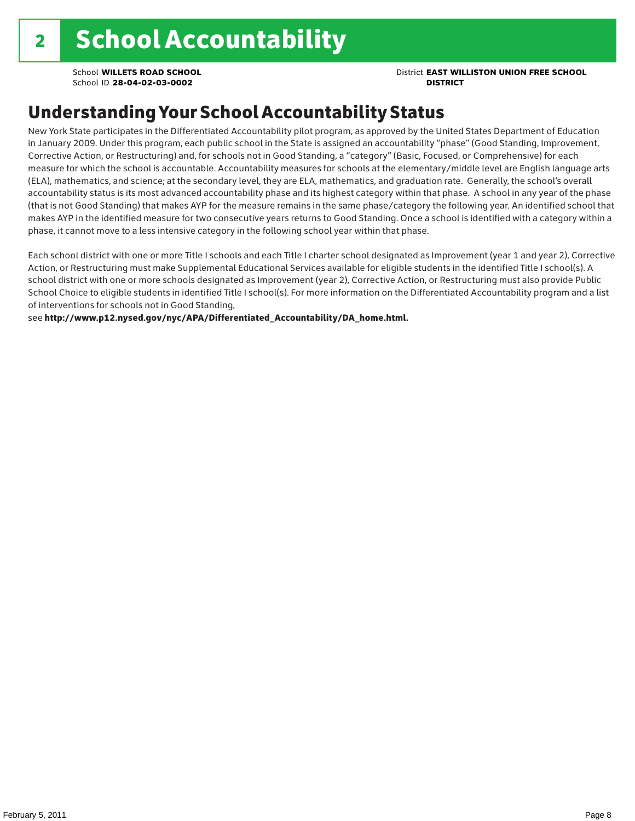### School **WILLETS ROAD SCHOOL** District **EAST WILLISTON UNION FREE SCHOOL**

### Understanding Your School Accountability Status

New York State participates in the Differentiated Accountability pilot program, as approved by the United States Department of Education in January 2009. Under this program, each public school in the State is assigned an accountability "phase" (Good Standing, Improvement, Corrective Action, or Restructuring) and, for schools not in Good Standing, a "category" (Basic, Focused, or Comprehensive) for each measure for which the school is accountable. Accountability measures for schools at the elementary/middle level are English language arts (ELA), mathematics, and science; at the secondary level, they are ELA, mathematics, and graduation rate. Generally, the school's overall accountability status is its most advanced accountability phase and its highest category within that phase. A school in any year of the phase (that is not Good Standing) that makes AYP for the measure remains in the same phase/category the following year. An identified school that makes AYP in the identified measure for two consecutive years returns to Good Standing. Once a school is identified with a category within a phase, it cannot move to a less intensive category in the following school year within that phase.

Each school district with one or more Title I schools and each Title I charter school designated as Improvement (year 1 and year 2), Corrective Action, or Restructuring must make Supplemental Educational Services available for eligible students in the identified Title I school(s). A school district with one or more schools designated as Improvement (year 2), Corrective Action, or Restructuring must also provide Public School Choice to eligible students in identified Title I school(s). For more information on the Differentiated Accountability program and a list of interventions for schools not in Good Standing,

see http://www.p12.nysed.gov/nyc/APA/Differentiated\_Accountability/DA\_home.html.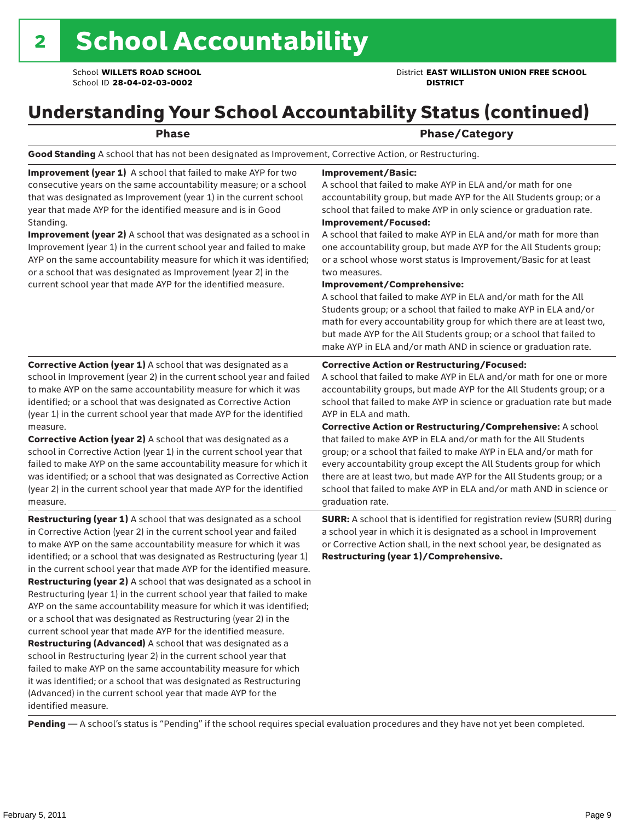School **WILLETS ROAD SCHOOL** District **EAST WILLISTON UNION FREE SCHOOL**

### Understanding Your School Accountability Status (continued)

Phase **Phase** Phase/Category

Good Standing A school that has not been designated as Improvement, Corrective Action, or Restructuring.

Improvement (year 1) A school that failed to make AYP for two consecutive years on the same accountability measure; or a school that was designated as Improvement (year 1) in the current school year that made AYP for the identified measure and is in Good Standing.

Improvement (year 2) A school that was designated as a school in Improvement (year 1) in the current school year and failed to make AYP on the same accountability measure for which it was identified; or a school that was designated as Improvement (year 2) in the current school year that made AYP for the identified measure.

Corrective Action (year 1) A school that was designated as a school in Improvement (year 2) in the current school year and failed to make AYP on the same accountability measure for which it was identified; or a school that was designated as Corrective Action (year 1) in the current school year that made AYP for the identified

#### Improvement/Basic:

A school that failed to make AYP in ELA and/or math for one accountability group, but made AYP for the All Students group; or a school that failed to make AYP in only science or graduation rate. Improvement/Focused:

A school that failed to make AYP in ELA and/or math for more than one accountability group, but made AYP for the All Students group; or a school whose worst status is Improvement/Basic for at least two measures.

#### Improvement/Comprehensive:

A school that failed to make AYP in ELA and/or math for the All Students group; or a school that failed to make AYP in ELA and/or math for every accountability group for which there are at least two, but made AYP for the All Students group; or a school that failed to make AYP in ELA and/or math AND in science or graduation rate.

#### Corrective Action or Restructuring/Focused:

A school that failed to make AYP in ELA and/or math for one or more accountability groups, but made AYP for the All Students group; or a school that failed to make AYP in science or graduation rate but made AYP in ELA and math.

measure. Corrective Action (year 2) A school that was designated as a school in Corrective Action (year 1) in the current school year that failed to make AYP on the same accountability measure for which it was identified; or a school that was designated as Corrective Action (year 2) in the current school year that made AYP for the identified measure.

Restructuring (year 1) A school that was designated as a school in Corrective Action (year 2) in the current school year and failed to make AYP on the same accountability measure for which it was identified; or a school that was designated as Restructuring (year 1) in the current school year that made AYP for the identified measure. Restructuring (year 2) A school that was designated as a school in Restructuring (year 1) in the current school year that failed to make AYP on the same accountability measure for which it was identified; or a school that was designated as Restructuring (year 2) in the current school year that made AYP for the identified measure. Restructuring (Advanced) A school that was designated as a school in Restructuring (year 2) in the current school year that failed to make AYP on the same accountability measure for which it was identified; or a school that was designated as Restructuring (Advanced) in the current school year that made AYP for the identified measure.

Corrective Action or Restructuring/Comprehensive: A school that failed to make AYP in ELA and/or math for the All Students group; or a school that failed to make AYP in ELA and/or math for every accountability group except the All Students group for which there are at least two, but made AYP for the All Students group; or a school that failed to make AYP in ELA and/or math AND in science or graduation rate.

SURR: A school that is identified for registration review (SURR) during a school year in which it is designated as a school in Improvement or Corrective Action shall, in the next school year, be designated as Restructuring (year 1)/Comprehensive.

Pending - A school's status is "Pending" if the school requires special evaluation procedures and they have not yet been completed.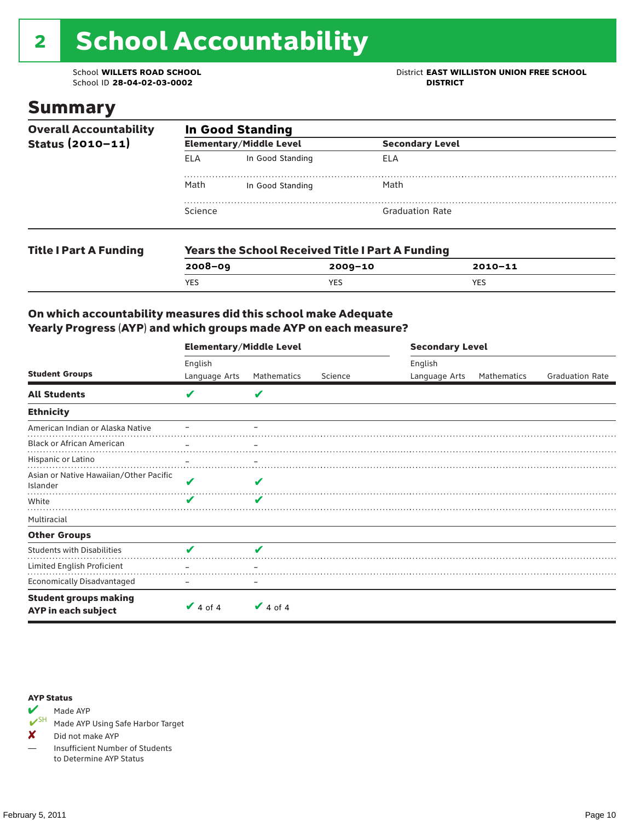# 2 School Accountability

School ID 28-04-02-03-0002

### School **WILLETS ROAD SCHOOL**<br>School ID 28-04-02-03-0002<br>**DISTRICT** DISTRICT

### Summary

| <b>Overall Accountability</b><br>Status $(2010 - 11)$ | <b>In Good Standing</b> |                                                         |                        |  |  |  |
|-------------------------------------------------------|-------------------------|---------------------------------------------------------|------------------------|--|--|--|
|                                                       |                         | <b>Elementary/Middle Level</b>                          | <b>Secondary Level</b> |  |  |  |
|                                                       | ELA                     | In Good Standing                                        | ELA                    |  |  |  |
|                                                       | Math                    | In Good Standing                                        | Math                   |  |  |  |
|                                                       | Science                 |                                                         | <b>Graduation Rate</b> |  |  |  |
| <b>Title I Part A Funding</b>                         |                         | <b>Years the School Received Title I Part A Funding</b> |                        |  |  |  |

| Title I Part A Funding | rears the School Received Title Fraft A Funding |             |             |  |  |  |
|------------------------|-------------------------------------------------|-------------|-------------|--|--|--|
|                        | $2008 - 09$                                     | $2009 - 10$ | $2010 - 11$ |  |  |  |
|                        | <b>YES</b>                                      | YES.        | YES         |  |  |  |
|                        |                                                 |             |             |  |  |  |

### On which accountability measures did this school make Adequate Yearly Progress (AYP) and which groups made AYP on each measure?

|                                                     | <b>Elementary/Middle Level</b> |                          |         |               | <b>Secondary Level</b> |                        |  |  |
|-----------------------------------------------------|--------------------------------|--------------------------|---------|---------------|------------------------|------------------------|--|--|
|                                                     | English                        |                          |         | English       |                        |                        |  |  |
| <b>Student Groups</b>                               | Language Arts                  | Mathematics              | Science | Language Arts | Mathematics            | <b>Graduation Rate</b> |  |  |
| <b>All Students</b>                                 | V                              | V                        |         |               |                        |                        |  |  |
| <b>Ethnicity</b>                                    |                                |                          |         |               |                        |                        |  |  |
| American Indian or Alaska Native                    |                                |                          |         |               |                        |                        |  |  |
| <b>Black or African American</b>                    |                                | $\overline{\phantom{m}}$ |         |               |                        |                        |  |  |
| Hispanic or Latino                                  |                                |                          |         |               |                        |                        |  |  |
| Asian or Native Hawaiian/Other Pacific<br>Islander  | V                              | V                        |         |               |                        |                        |  |  |
| White                                               | V                              | V                        |         |               |                        |                        |  |  |
| Multiracial                                         |                                |                          |         |               |                        |                        |  |  |
| <b>Other Groups</b>                                 |                                |                          |         |               |                        |                        |  |  |
| <b>Students with Disabilities</b>                   | J                              |                          |         |               |                        |                        |  |  |
| Limited English Proficient                          |                                |                          |         |               |                        |                        |  |  |
| <b>Economically Disadvantaged</b>                   |                                |                          |         |               |                        |                        |  |  |
| <b>Student groups making</b><br>AYP in each subject | $\vee$ 4 of 4                  | $\vee$ 4 of 4            |         |               |                        |                        |  |  |



Made AYP Using Safe Harbor Target

✘ Did not make AYP

— Insufficient Number of Students to Determine AYP Status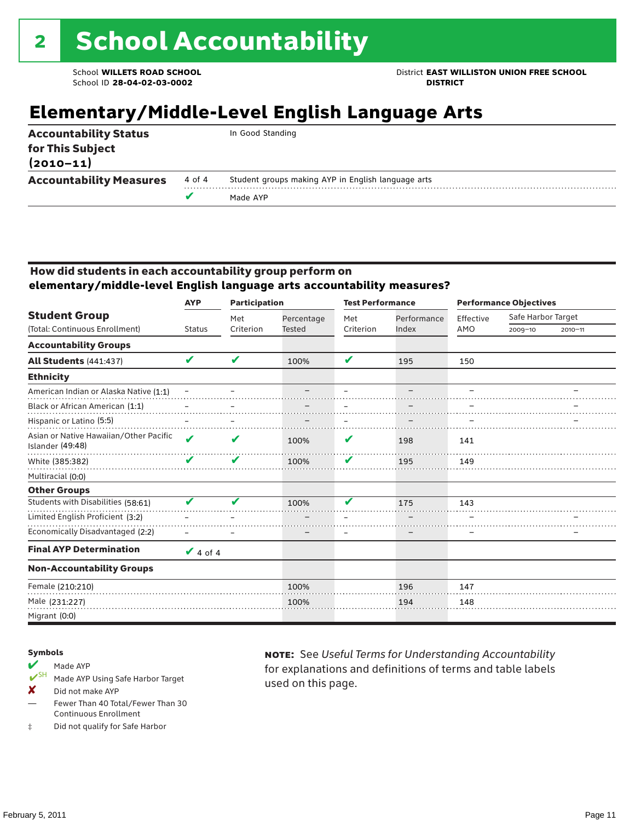School **WILLETS ROAD SCHOOL** District **EAST WILLISTON UNION FREE SCHOOL**

### **Elementary/Middle-Level English Language Arts**

| <b>Accountability Status</b><br>for This Subject<br>$(2010 - 11)$ |        | In Good Standing                                   |
|-------------------------------------------------------------------|--------|----------------------------------------------------|
| <b>Accountability Measures</b>                                    | 4 of 4 | Student groups making AYP in English language arts |
|                                                                   |        | Made AYP                                           |
|                                                                   |        |                                                    |

#### How did students in each accountability group perform on **elementary/middle-level English language arts accountability measures?**

|                                                            | <b>Participation</b><br><b>AYP</b> |           |               | <b>Test Performance</b>    |             | <b>Performance Objectives</b> |                    |             |
|------------------------------------------------------------|------------------------------------|-----------|---------------|----------------------------|-------------|-------------------------------|--------------------|-------------|
| <b>Student Group</b>                                       |                                    | Met       | Percentage    | Met                        | Performance | Effective                     | Safe Harbor Target |             |
| (Total: Continuous Enrollment)                             | <b>Status</b>                      | Criterion | <b>Tested</b> | Criterion                  | Index       | AMO                           | $2009 - 10$        | $2010 - 11$ |
| <b>Accountability Groups</b>                               |                                    |           |               |                            |             |                               |                    |             |
| <b>All Students (441:437)</b>                              | V                                  | V         | 100%          | $\boldsymbol{\mathcal{L}}$ | 195         | 150                           |                    |             |
| <b>Ethnicity</b>                                           |                                    |           |               |                            |             |                               |                    |             |
| American Indian or Alaska Native (1:1)                     |                                    |           |               |                            |             |                               |                    |             |
| Black or African American (1:1)                            |                                    |           |               |                            |             |                               |                    |             |
| Hispanic or Latino (5:5)                                   |                                    |           |               |                            |             |                               |                    |             |
| Asian or Native Hawaiian/Other Pacific<br>Islander (49:48) | ✔                                  | V         | 100%          | V                          | 198         | 141                           |                    |             |
| White (385:382)                                            | V                                  | V         | 100%          | V                          | 195         | 149                           |                    |             |
| Multiracial (0:0)                                          |                                    |           |               |                            |             |                               |                    |             |
| <b>Other Groups</b>                                        |                                    |           |               |                            |             |                               |                    |             |
| Students with Disabilities (58:61)                         | v                                  | V         | 100%          | v                          | 175         | 143                           |                    |             |
| Limited English Proficient (3:2)                           |                                    |           |               |                            |             |                               |                    |             |
| Economically Disadvantaged (2:2)                           |                                    |           |               | $\equiv$                   |             |                               |                    |             |
| <b>Final AYP Determination</b>                             | $\vee$ 4 of 4                      |           |               |                            |             |                               |                    |             |
| <b>Non-Accountability Groups</b>                           |                                    |           |               |                            |             |                               |                    |             |
| Female (210:210)                                           |                                    |           | 100%          |                            | 196         | 147                           |                    |             |
| Male (231:227)                                             |                                    |           | 100%          |                            | 194         | 148                           |                    |             |
| Migrant (0:0)                                              |                                    |           |               |                            |             |                               |                    |             |

#### Symbols

- Made AYP<br> **V**SH Made AVP Made AYP Using Safe Harbor Target
- X Did not make AYP
- Fewer Than 40 Total/Fewer Than 30 Continuous Enrollment
- ‡ Did not qualify for Safe Harbor

note: See *Useful Terms for Understanding Accountability*  for explanations and definitions of terms and table labels used on this page.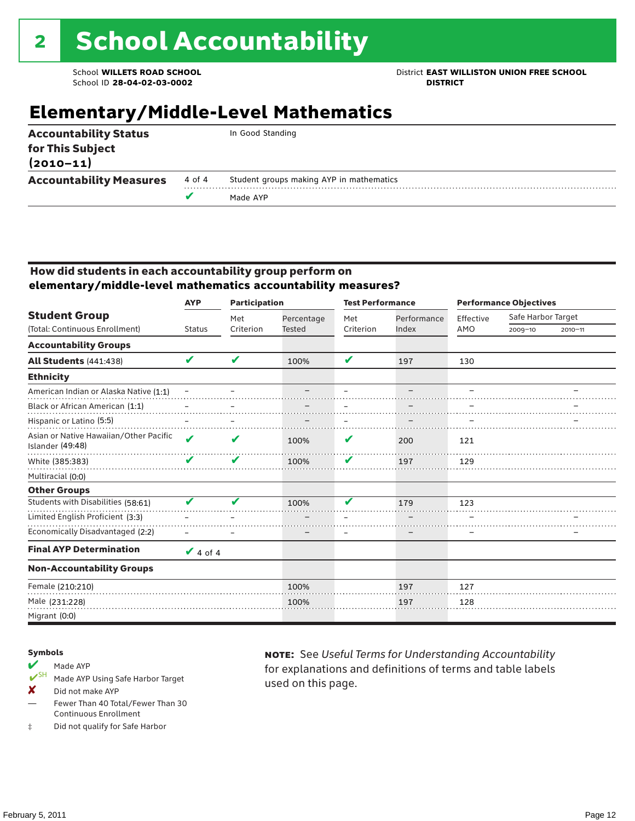School **WILLETS ROAD SCHOOL** District **EAST WILLISTON UNION FREE SCHOOL**

### **Elementary/Middle-Level Mathematics**

| <b>Accountability Status</b><br>for This Subject<br>$(2010 - 11)$ |        | In Good Standing                         |
|-------------------------------------------------------------------|--------|------------------------------------------|
| <b>Accountability Measures</b>                                    | 4 of 4 | Student groups making AYP in mathematics |
|                                                                   | v      | Made AYP                                 |
|                                                                   |        |                                          |

### How did students in each accountability group perform on **elementary/middle-level mathematics accountability measures?**

|                                                            | <b>AYP</b>    | <b>Participation</b> |               | <b>Test Performance</b> |             | <b>Performance Objectives</b> |                    |             |  |
|------------------------------------------------------------|---------------|----------------------|---------------|-------------------------|-------------|-------------------------------|--------------------|-------------|--|
| <b>Student Group</b>                                       |               | Met                  | Percentage    | Met                     | Performance | Effective                     | Safe Harbor Target |             |  |
| (Total: Continuous Enrollment)                             | <b>Status</b> | Criterion            | <b>Tested</b> | Criterion               | Index       | AMO                           | 2009-10            | $2010 - 11$ |  |
| <b>Accountability Groups</b>                               |               |                      |               |                         |             |                               |                    |             |  |
| <b>All Students (441:438)</b>                              | V             | V                    | 100%          | V                       | 197         | 130                           |                    |             |  |
| <b>Ethnicity</b>                                           |               |                      |               |                         |             |                               |                    |             |  |
| American Indian or Alaska Native (1:1)                     |               |                      |               |                         |             |                               |                    |             |  |
| Black or African American (1:1)                            |               |                      |               |                         |             |                               |                    |             |  |
| Hispanic or Latino (5:5)                                   |               |                      |               |                         |             |                               |                    |             |  |
| Asian or Native Hawaiian/Other Pacific<br>Islander (49:48) | ✔             | V                    | 100%          | V                       | 200         | 121                           |                    |             |  |
| White (385:383)                                            | V             | V                    | 100%          | V                       | 197         | 129                           |                    |             |  |
| Multiracial (0:0)                                          |               |                      |               |                         |             |                               |                    |             |  |
| <b>Other Groups</b>                                        |               |                      |               |                         |             |                               |                    |             |  |
| Students with Disabilities (58:61)                         |               |                      | 100%          | 44                      | 179         | 123                           |                    |             |  |
| Limited English Proficient (3:3)                           |               |                      |               |                         |             |                               |                    |             |  |
| Economically Disadvantaged (2:2)                           |               |                      |               |                         |             |                               |                    |             |  |
| <b>Final AYP Determination</b>                             | $\vee$ 4 of 4 |                      |               |                         |             |                               |                    |             |  |
| <b>Non-Accountability Groups</b>                           |               |                      |               |                         |             |                               |                    |             |  |
| Female (210:210)                                           |               |                      | 100%          |                         | 197         | 127                           |                    |             |  |
| Male (231:228)                                             |               |                      | 100%          |                         | 197         | 128                           |                    |             |  |
| Migrant (0:0)                                              |               |                      |               |                         |             |                               |                    |             |  |

#### Symbols

- Made AYP<br> **V**SH Made AVP Made AYP Using Safe Harbor Target
- ✘ Did not make AYP
- Fewer Than 40 Total/Fewer Than 30 Continuous Enrollment
- ‡ Did not qualify for Safe Harbor

note: See *Useful Terms for Understanding Accountability*  for explanations and definitions of terms and table labels used on this page.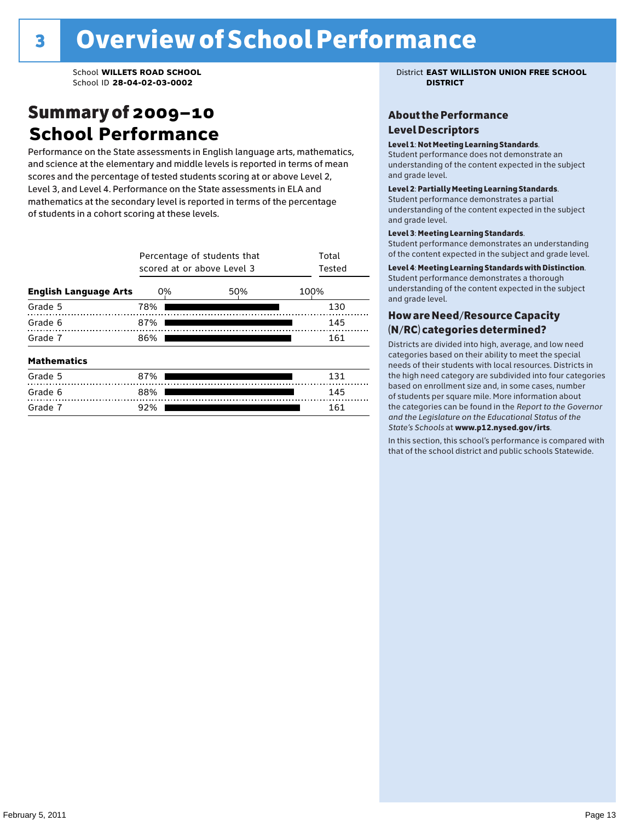### Summary of 2009–10 **School Performance**

Performance on the State assessments in English language arts, mathematics, and science at the elementary and middle levels is reported in terms of mean scores and the percentage of tested students scoring at or above Level 2, Level 3, and Level 4. Performance on the State assessments in ELA and mathematics at the secondary level is reported in terms of the percentage of students in a cohort scoring at these levels.

|                              | Percentage of students that<br>scored at or above Level 3 | Total<br>Tested |      |
|------------------------------|-----------------------------------------------------------|-----------------|------|
| <b>English Language Arts</b> | 0%                                                        | 50%             | 100% |
| Grade 5                      | 78%                                                       |                 | 130  |
| Grade 6                      | 87%                                                       |                 | 145  |
| Grade 7                      | 86%                                                       |                 | 161  |
| <b>Mathematics</b>           |                                                           |                 |      |
| Grade 5                      | 87%                                                       |                 | 131  |
| Grade 6                      | 88%                                                       |                 | 145  |
| Grade 7                      | 92%                                                       |                 | 161  |

School **WILLETS ROAD SCHOOL** District **EAST WILLISTON UNION FREE SCHOOL**

### About the Performance Level Descriptors

#### Level 1: Not Meeting Learning Standards.

Student performance does not demonstrate an understanding of the content expected in the subject and grade level.

#### Level 2: Partially Meeting Learning Standards.

Student performance demonstrates a partial understanding of the content expected in the subject and grade level.

#### Level 3: Meeting Learning Standards.

Student performance demonstrates an understanding of the content expected in the subject and grade level.

#### Level 4: Meeting Learning Standards with Distinction.

Student performance demonstrates a thorough understanding of the content expected in the subject and grade level.

### How are Need/Resource Capacity (N/RC) categories determined?

Districts are divided into high, average, and low need categories based on their ability to meet the special needs of their students with local resources. Districts in the high need category are subdivided into four categories based on enrollment size and, in some cases, number of students per square mile. More information about the categories can be found in the *Report to the Governor and the Legislature on the Educational Status of the*  State's Schools at www.p12.nysed.gov/irts.

In this section, this school's performance is compared with<br>that of the school district and multigarhaals Statemide In this section, this school's performance is compared that of the school district and public schools Statewide.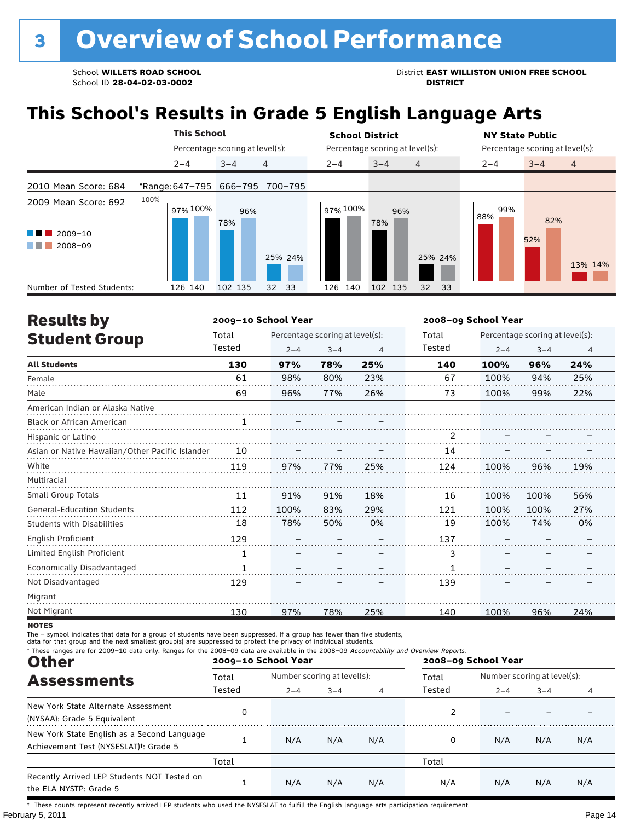School **WILLETS ROAD SCHOOL**<br>School ID 28-04-02-03-0002<br>**DISTRICT** DISTRICT

## **This School's Results in Grade 5 English Language Arts**

|                                | <b>This School</b>      |                                 |          | <b>School District</b> |                                  |            | <b>NY State Public</b>          |  |  |  |
|--------------------------------|-------------------------|---------------------------------|----------|------------------------|----------------------------------|------------|---------------------------------|--|--|--|
|                                |                         | Percentage scoring at level(s): |          |                        | Percentage scoring at level(s):  |            | Percentage scoring at level(s): |  |  |  |
|                                | $2 - 4$                 | $3 - 4$                         | 4        | $2 - 4$                | $3 - 4$<br>4                     | $2 - 4$    | $\overline{4}$<br>$3 - 4$       |  |  |  |
| 2010 Mean Score: 684           | *Range: 647-795 666-795 |                                 | 700-795  |                        |                                  |            |                                 |  |  |  |
| 2009 Mean Score: 692           | 100%<br>97% 100%        | 96%<br>78%                      |          | 97% 100%               | 96%<br>78%                       | 99%<br>88% | 82%                             |  |  |  |
| $2009 - 10$<br>a ka<br>2008-09 |                         |                                 | 25% 24%  |                        | 25% 24%                          |            | 52%<br>13% 14%                  |  |  |  |
| Number of Tested Students:     | 126 140                 | 102 135                         | 33<br>32 | 126 140                | 102 135<br>32 <sup>2</sup><br>33 |            |                                 |  |  |  |

| <b>Results by</b>                               |        | 2009-10 School Year |                                 |     | 2008-09 School Year |         |                                 |                |  |
|-------------------------------------------------|--------|---------------------|---------------------------------|-----|---------------------|---------|---------------------------------|----------------|--|
| <b>Student Group</b>                            | Total  |                     | Percentage scoring at level(s): |     | Total               |         | Percentage scoring at level(s): |                |  |
|                                                 | Tested | $2 - 4$             | $3 - 4$                         | 4   | Tested              | $2 - 4$ | $3 - 4$                         | $\overline{4}$ |  |
| <b>All Students</b>                             | 130    | 97%                 | 78%                             | 25% | 140                 | 100%    | 96%                             | 24%            |  |
| Female                                          | 61     | 98%                 | 80%                             | 23% | 67                  | 100%    | 94%                             | 25%            |  |
| Male                                            | 69     | 96%                 | 77%                             | 26% | 73                  | 100%    | 99%                             | 22%            |  |
| American Indian or Alaska Native                |        |                     |                                 |     |                     |         |                                 |                |  |
| <b>Black or African American</b>                | 1      |                     |                                 |     |                     |         |                                 |                |  |
| Hispanic or Latino                              |        |                     |                                 |     | $\overline{2}$      |         |                                 |                |  |
| Asian or Native Hawaiian/Other Pacific Islander | 10     |                     |                                 |     | 14                  |         |                                 |                |  |
| White                                           | 119    | 97%                 | 77%                             | 25% | 124                 | 100%    | 96%                             | 19%            |  |
| Multiracial                                     |        |                     |                                 |     |                     |         |                                 |                |  |
| Small Group Totals                              | 11     | 91%                 | 91%                             | 18% | 16                  | 100%    | 100%                            | 56%            |  |
| <b>General-Education Students</b>               | 112    | 100%                | 83%                             | 29% | 121                 | 100%    | 100%                            | 27%            |  |
| <b>Students with Disabilities</b>               | 18     | 78%                 | 50%                             | 0%  | 19                  | 100%    | 74%                             | 0%             |  |
| English Proficient                              | 129    |                     |                                 |     | 137                 |         |                                 |                |  |
| Limited English Proficient                      | 1      |                     |                                 |     | 3                   |         |                                 |                |  |
| Economically Disadvantaged                      | 1      |                     |                                 |     | 1                   |         |                                 |                |  |
| Not Disadvantaged                               | 129    |                     |                                 |     | 139                 |         |                                 |                |  |
| Migrant                                         |        |                     |                                 |     |                     |         |                                 |                |  |
| Not Migrant                                     | 130    | 97%                 | 78%                             | 25% | 140                 | 100%    | 96%                             | 24%            |  |

**NOTES** 

The – symbol indicates that data for a group of students have been suppressed. If a group has fewer than five students,<br>data for that group and the next smallest group(s) are suppressed to protect the privacy of individual

| * These ranges are for 2009-10 data only. Ranges for the 2008-09 data are available in the 2008-09 Accountability and Overview Reports.<br><b>Other</b> |        | 2009-10 School Year |                             |     | 2008-09 School Year |                             |         |     |
|---------------------------------------------------------------------------------------------------------------------------------------------------------|--------|---------------------|-----------------------------|-----|---------------------|-----------------------------|---------|-----|
| <b>Assessments</b>                                                                                                                                      | Total  |                     | Number scoring at level(s): |     |                     | Number scoring at level(s): |         |     |
|                                                                                                                                                         | Tested | $2 - 4$             | $3 - 4$                     | 4   | Tested              | $2 - 4$                     | $3 - 4$ | 4   |
| New York State Alternate Assessment<br>(NYSAA): Grade 5 Equivalent                                                                                      | 0      |                     |                             |     |                     |                             |         |     |
| New York State English as a Second Language<br>Achievement Test (NYSESLAT) <sup>t</sup> : Grade 5                                                       |        | N/A                 | N/A                         | N/A | 0                   | N/A                         | N/A     | N/A |
|                                                                                                                                                         | Total  |                     |                             |     | Total               |                             |         |     |
| Recently Arrived LEP Students NOT Tested on<br>the ELA NYSTP: Grade 5                                                                                   |        | N/A                 | N/A                         | N/A | N/A                 | N/A                         | N/A     | N/A |

February 5, 2011 **Page 14** Page 14 † These counts represent recently arrived LEP students who used the NYSESLAT to fulfill the English language arts participation requirement.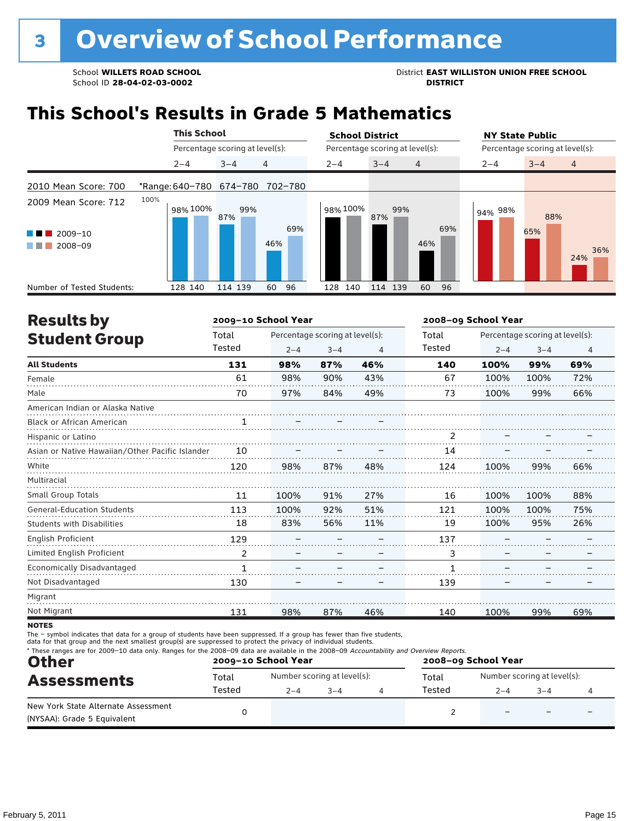School **WILLETS ROAD SCHOOL**<br>School ID 28-04-02-03-0002<br>**DISTRICT** DISTRICT

### **This School's Results in Grade 5 Mathematics**

|                                                                | <b>This School</b>      |                                 | <b>School District</b>               | <b>NY State Public</b>               |  |  |  |
|----------------------------------------------------------------|-------------------------|---------------------------------|--------------------------------------|--------------------------------------|--|--|--|
|                                                                |                         | Percentage scoring at level(s): | Percentage scoring at level(s):      | Percentage scoring at level(s):      |  |  |  |
|                                                                | $2 - 4$                 | 4<br>$3 - 4$                    | $2 - 4$<br>$3 - 4$<br>$\overline{4}$ | $\overline{4}$<br>$3 - 4$<br>$2 - 4$ |  |  |  |
| 2010 Mean Score: 700                                           | *Range: 640-780 674-780 | 702-780                         |                                      |                                      |  |  |  |
| 2009 Mean Score: 712<br>2009-10<br>a ka<br>2008-09<br>a sa Tan | 100%<br>98% 100%        | 99%<br>87%<br>69%<br>46%        | 98% 100%<br>99%<br>87%<br>69%<br>46% | 94% 98%<br>88%<br>65%<br>36%<br>24%  |  |  |  |
| Number of Tested Students:                                     | 128 140                 | 96<br>114 139<br>60             | 140<br>60<br>114 139<br>96<br>128    |                                      |  |  |  |

| <b>Results by</b>                               |              | 2009-10 School Year |                                 |     | 2008-09 School Year |         |                                 |     |
|-------------------------------------------------|--------------|---------------------|---------------------------------|-----|---------------------|---------|---------------------------------|-----|
| <b>Student Group</b>                            | Total        |                     | Percentage scoring at level(s): |     |                     |         | Percentage scoring at level(s): |     |
|                                                 | Tested       | $2 - 4$             | $3 - 4$                         | 4   | Tested              | $2 - 4$ | $3 - 4$                         | 4   |
| <b>All Students</b>                             | 131          | 98%                 | 87%                             | 46% | 140                 | 100%    | 99%                             | 69% |
| Female                                          | 61           | 98%                 | 90%                             | 43% | 67                  | 100%    | 100%                            | 72% |
| Male                                            | 70           | 97%                 | 84%                             | 49% | 73                  | 100%    | 99%                             | 66% |
| American Indian or Alaska Native                |              |                     |                                 |     |                     |         |                                 |     |
| <b>Black or African American</b>                | 1            |                     |                                 |     |                     |         |                                 |     |
| Hispanic or Latino                              |              |                     |                                 |     | 2                   |         |                                 |     |
| Asian or Native Hawaiian/Other Pacific Islander | 10           |                     |                                 |     | 14                  |         |                                 |     |
| White                                           | 120          | 98%                 | 87%                             | 48% | 124                 | 100%    | 99%                             | 66% |
| Multiracial                                     |              |                     |                                 |     |                     |         |                                 |     |
| Small Group Totals                              | 11           | 100%                | 91%                             | 27% | 16                  | 100%    | 100%                            | 88% |
| <b>General-Education Students</b>               | 113          | 100%                | 92%                             | 51% | 121                 | 100%    | 100%                            | 75% |
| <b>Students with Disabilities</b>               | 18           | 83%                 | 56%                             | 11% | 19                  | 100%    | 95%                             | 26% |
| English Proficient                              | 129          |                     |                                 |     | 137                 |         |                                 |     |
| Limited English Proficient                      | 2            |                     |                                 |     | 3                   |         |                                 |     |
| Economically Disadvantaged                      | $\mathbf{1}$ |                     |                                 |     | 1                   |         |                                 |     |
| Not Disadvantaged                               | 130          |                     |                                 |     | 139                 |         |                                 |     |
| Migrant                                         |              |                     |                                 |     |                     |         |                                 |     |
| Not Migrant                                     | 131          | 98%                 | 87%                             | 46% | 140                 | 100%    | 99%                             | 69% |

**NOTES** 

The – symbol indicates that data for a group of students have been suppressed. If a group has fewer than five students,<br>data for that group and the next smallest group(s) are suppressed to protect the privacy of individual

| * These ranges are for 2009-10 data only. Ranges for the 2008-09 data are available in the 2008-09 Accountability and Overview Reports.<br><b>Other</b><br><b>Assessments</b> |        | 2009-10 School Year         |         | 2008-09 School Year |        |                             |         |  |
|-------------------------------------------------------------------------------------------------------------------------------------------------------------------------------|--------|-----------------------------|---------|---------------------|--------|-----------------------------|---------|--|
|                                                                                                                                                                               | Total  | Number scoring at level(s): |         |                     | Total  | Number scoring at level(s): |         |  |
|                                                                                                                                                                               | Tested | $2 - 4$                     | $3 - 4$ |                     | Tested | $2 - 4$                     | $3 - 4$ |  |
| New York State Alternate Assessment<br>(NYSAA): Grade 5 Equivalent                                                                                                            |        |                             |         |                     |        |                             |         |  |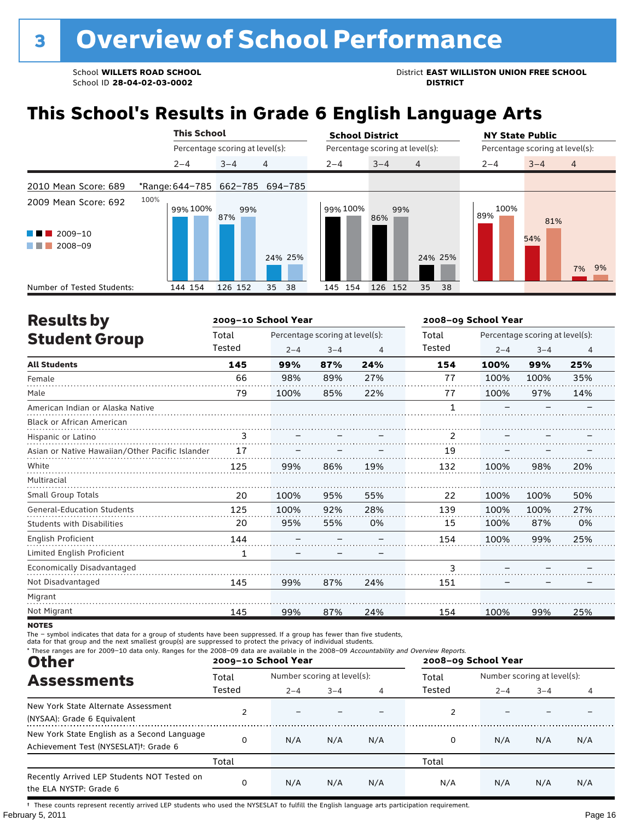School **WILLETS ROAD SCHOOL**<br>School ID 28-04-02-03-0002<br>**DISTRICT** DISTRICT

## **This School's Results in Grade 6 English Language Arts**

|                                                | <b>This School</b>              |                                 | <b>School District</b> |                                 | <b>NY State Public</b>               |  |  |  |
|------------------------------------------------|---------------------------------|---------------------------------|------------------------|---------------------------------|--------------------------------------|--|--|--|
|                                                |                                 | Percentage scoring at level(s): |                        | Percentage scoring at level(s): | Percentage scoring at level(s):      |  |  |  |
|                                                | $2 - 4$                         | 4<br>$3 - 4$                    | $2 - 4$                | $\overline{4}$<br>$3 - 4$       | $3 - 4$<br>$2 - 4$<br>$\overline{4}$ |  |  |  |
| 2010 Mean Score: 689                           | *Range: 644-785 662-785 694-785 |                                 |                        |                                 |                                      |  |  |  |
| 2009 Mean Score: 692<br>$2009 - 10$<br>a sa na | 100%<br>99% 100%                | 99%<br>87%                      | 99% 100%               | 99%<br>86%                      | 100%<br>89%<br>81%                   |  |  |  |
| 2008-09<br>a sa Tan                            |                                 |                                 | 24% 25%                | 24% 25%                         | 54%<br>7% 9%                         |  |  |  |
| Number of Tested Students:                     | 144 154                         | 126 152<br>35                   | 38<br>145 154          | 126 152<br>35<br>38             |                                      |  |  |  |

| <b>Results by</b>                               |        | 2009-10 School Year |                                 |     |              | 2008-09 School Year |                                 |                |  |
|-------------------------------------------------|--------|---------------------|---------------------------------|-----|--------------|---------------------|---------------------------------|----------------|--|
| <b>Student Group</b>                            | Total  |                     | Percentage scoring at level(s): |     | Total        |                     | Percentage scoring at level(s): |                |  |
|                                                 | Tested | $2 - 4$             | $3 - 4$                         | 4   | Tested       | $2 - 4$             | $3 - 4$                         | $\overline{4}$ |  |
| <b>All Students</b>                             | 145    | 99%                 | 87%                             | 24% | 154          | 100%                | 99%                             | 25%            |  |
| Female                                          | 66     | 98%                 | 89%                             | 27% | 77           | 100%                | 100%                            | 35%            |  |
| Male                                            | 79     | 100%                | 85%                             | 22% | 77           | 100%                | 97%                             | 14%            |  |
| American Indian or Alaska Native                |        |                     |                                 |     | $\mathbf{1}$ |                     |                                 |                |  |
| <b>Black or African American</b>                |        |                     |                                 |     |              |                     |                                 |                |  |
| Hispanic or Latino                              | 3      |                     |                                 |     | 2            |                     |                                 |                |  |
| Asian or Native Hawaiian/Other Pacific Islander | 17     |                     |                                 |     | 19           |                     |                                 |                |  |
| White                                           | 125    | 99%                 | 86%                             | 19% | 132          | 100%                | 98%                             | 20%            |  |
| Multiracial                                     |        |                     |                                 |     |              |                     |                                 |                |  |
| Small Group Totals                              | 20     | 100%                | 95%                             | 55% | 22           | 100%                | 100%                            | 50%            |  |
| <b>General-Education Students</b>               | 125    | 100%                | 92%                             | 28% | 139          | 100%                | 100%                            | 27%            |  |
| <b>Students with Disabilities</b>               | 20     | 95%                 | 55%                             | 0%  | 15           | 100%                | 87%                             | 0%             |  |
| English Proficient                              | 144    |                     |                                 |     | 154          | 100%                | 99%                             | 25%            |  |
| Limited English Proficient                      | 1      |                     |                                 |     |              |                     |                                 |                |  |
| Economically Disadvantaged                      |        |                     |                                 |     | 3            |                     |                                 |                |  |
| Not Disadvantaged                               | 145    | 99%                 | 87%                             | 24% | 151          |                     |                                 |                |  |
| Migrant                                         |        |                     |                                 |     |              |                     |                                 |                |  |
| Not Migrant                                     | 145    | 99%                 | 87%                             | 24% | 154          | 100%                | 99%                             | 25%            |  |

**NOTES** 

The – symbol indicates that data for a group of students have been suppressed. If a group has fewer than five students,<br>data for that group and the next smallest group(s) are suppressed to protect the privacy of individual

| * These ranges are for 2009-10 data only. Ranges for the 2008-09 data are available in the 2008-09 Accountability and Overview Reports.<br><b>Other</b> |        | 2009-10 School Year |                             |     | 2008-09 School Year |                             |         |     |
|---------------------------------------------------------------------------------------------------------------------------------------------------------|--------|---------------------|-----------------------------|-----|---------------------|-----------------------------|---------|-----|
| <b>Assessments</b>                                                                                                                                      | Total  |                     | Number scoring at level(s): |     |                     | Number scoring at level(s): |         |     |
|                                                                                                                                                         | Tested | $2 - 4$             | $3 - 4$                     | 4   | Tested              | $2 - 4$                     | $3 - 4$ | 4   |
| New York State Alternate Assessment<br>(NYSAA): Grade 6 Equivalent                                                                                      |        |                     |                             |     |                     |                             |         |     |
| New York State English as a Second Language<br>Achievement Test (NYSESLAT) <sup>+</sup> : Grade 6                                                       | 0      | N/A                 | N/A                         | N/A | 0                   | N/A                         | N/A     | N/A |
|                                                                                                                                                         | Total  |                     |                             |     | Total               |                             |         |     |
| Recently Arrived LEP Students NOT Tested on<br>the ELA NYSTP: Grade 6                                                                                   | 0      | N/A                 | N/A                         | N/A | N/A                 | N/A                         | N/A     | N/A |

February 5, 2011 **Page 16** † These counts represent recently arrived LEP students who used the NYSESLAT to fulfill the English language arts participation requirement.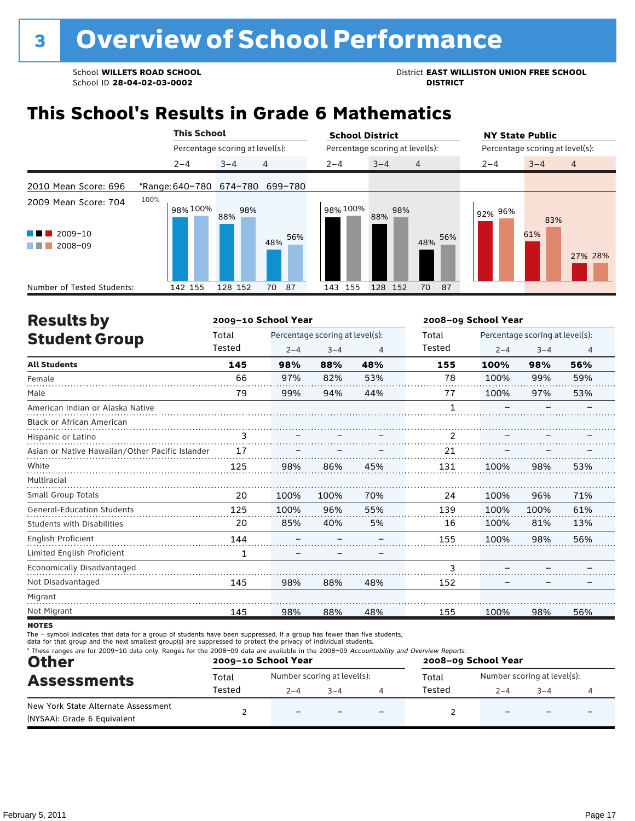School **WILLETS ROAD SCHOOL**<br>School ID 28-04-02-03-0002<br>**DISTRICT** DISTRICT

### **This School's Results in Grade 6 Mathematics**

|                                                                | <b>This School</b>      |                                 | <b>School District</b>               | <b>NY State Public</b>               |
|----------------------------------------------------------------|-------------------------|---------------------------------|--------------------------------------|--------------------------------------|
|                                                                |                         | Percentage scoring at level(s): | Percentage scoring at level(s):      | Percentage scoring at level(s):      |
|                                                                | $2 - 4$                 | 4<br>$3 - 4$                    | $2 - 4$<br>$3 - 4$<br>$\overline{4}$ | $\overline{4}$<br>$2 - 4$<br>$3 - 4$ |
| 2010 Mean Score: 696                                           | *Range: 640-780 674-780 | 699-780                         |                                      |                                      |
| 2009 Mean Score: 704<br>2009-10<br>a ka<br>2008-09<br>a sa Tan | 100%<br>98% 100%        | 98%<br>88%<br>56%<br>48%        | 98% 100%<br>98%<br>88%<br>56%<br>48% | 92% 96%<br>83%<br>61%<br>27% 28%     |
| Number of Tested Students:                                     | 142 155                 | 128 152<br>87<br>70             | 128 152<br>143<br>155<br>70<br>87    |                                      |

| <b>Results by</b>                               |              | 2009-10 School Year |                                 |     |        | 2008-09 School Year |                                 |     |  |
|-------------------------------------------------|--------------|---------------------|---------------------------------|-----|--------|---------------------|---------------------------------|-----|--|
| <b>Student Group</b>                            | Total        |                     | Percentage scoring at level(s): |     | Total  |                     | Percentage scoring at level(s): |     |  |
|                                                 | Tested       | $2 - 4$             | $3 - 4$                         | 4   | Tested | $2 - 4$             | $3 - 4$                         | 4   |  |
| <b>All Students</b>                             | 145          | 98%                 | 88%                             | 48% | 155    | 100%                | 98%                             | 56% |  |
| Female                                          | 66           | 97%                 | 82%                             | 53% | 78     | 100%                | 99%                             | 59% |  |
| Male                                            | 79           | 99%                 | 94%                             | 44% | 77     | 100%                | 97%                             | 53% |  |
| American Indian or Alaska Native                |              |                     |                                 |     |        |                     |                                 |     |  |
| <b>Black or African American</b>                |              |                     |                                 |     |        |                     |                                 |     |  |
| Hispanic or Latino                              | 3            |                     |                                 |     | 2      |                     |                                 |     |  |
| Asian or Native Hawaiian/Other Pacific Islander | 17           |                     |                                 |     | 21     |                     |                                 |     |  |
| White                                           | 125          | 98%                 | 86%                             | 45% | 131    | 100%                | 98%                             | 53% |  |
| Multiracial                                     |              |                     |                                 |     |        |                     |                                 |     |  |
| Small Group Totals                              | 20           | 100%                | 100%                            | 70% | 24     | 100%                | 96%                             | 71% |  |
| <b>General-Education Students</b>               | 125          | 100%                | 96%                             | 55% | 139    | 100%                | 100%                            | 61% |  |
| <b>Students with Disabilities</b>               | 20           | 85%                 | 40%                             | 5%  | 16     | 100%                | 81%                             | 13% |  |
| English Proficient                              | 144          |                     |                                 |     | 155    | 100%                | 98%                             | 56% |  |
| Limited English Proficient                      | $\mathbf{1}$ |                     |                                 |     |        |                     |                                 |     |  |
| Economically Disadvantaged                      |              |                     |                                 |     | 3      |                     |                                 |     |  |
| Not Disadvantaged                               | 145          | 98%                 | 88%                             | 48% | 152    |                     |                                 |     |  |
| Migrant                                         |              |                     |                                 |     |        |                     |                                 |     |  |
| Not Migrant                                     | 145          | 98%                 | 88%                             | 48% | 155    | 100%                | 98%                             | 56% |  |

**NOTES** 

The – symbol indicates that data for a group of students have been suppressed. If a group has fewer than five students,<br>data for that group and the next smallest group(s) are suppressed to protect the privacy of individual

| * These ranges are for 2009-10 data only. Ranges for the 2008-09 data are available in the 2008-09 Accountability and Overview Reports.<br><b>Other</b><br><b>Assessments</b> |        | 2009-10 School Year         |         | 2008-09 School Year |        |                                                  |  |  |
|-------------------------------------------------------------------------------------------------------------------------------------------------------------------------------|--------|-----------------------------|---------|---------------------|--------|--------------------------------------------------|--|--|
|                                                                                                                                                                               | Total  | Number scoring at level(s): |         |                     | Total  | Number scoring at level(s):<br>$2 - 4$<br>$-3-4$ |  |  |
|                                                                                                                                                                               | Tested | $2 - 4$                     | $3 - 4$ |                     | Tested |                                                  |  |  |
| New York State Alternate Assessment<br>(NYSAA): Grade 6 Equivalent                                                                                                            |        | $\qquad \qquad -$           |         |                     |        |                                                  |  |  |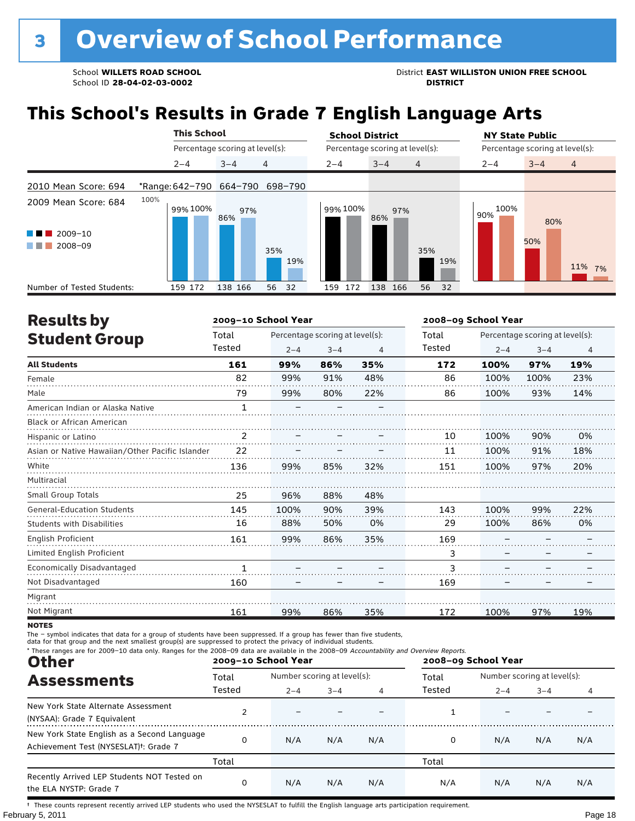School **WILLETS ROAD SCHOOL**<br>School ID 28-04-02-03-0002<br>**DISTRICT** DISTRICT

## **This School's Results in Grade 7 English Language Arts**

|                                                                                        |      | <b>This School</b> |                                 |            | <b>School District</b> |                                 |            | <b>NY State Public</b> |                                 |  |
|----------------------------------------------------------------------------------------|------|--------------------|---------------------------------|------------|------------------------|---------------------------------|------------|------------------------|---------------------------------|--|
|                                                                                        |      |                    | Percentage scoring at level(s): |            |                        | Percentage scoring at level(s): |            |                        | Percentage scoring at level(s): |  |
|                                                                                        |      | $2 - 4$            | $3 - 4$                         | 4          | $2 - 4$                | $3 - 4$<br>$\overline{4}$       |            | $2 - 4$                | $3 - 4$<br>$\overline{4}$       |  |
| 2010 Mean Score: 694                                                                   |      |                    | *Range: 642-790 664-790         | 698-790    |                        |                                 |            |                        |                                 |  |
| 2009 Mean Score: 684<br>$2009 - 10$<br><b>CONTRACTOR</b><br>2008-09<br>and the control | 100% | 99% 100%           | 97%<br>86%                      | 35%<br>19% | 99% 100%               | 97%<br>86%                      | 35%<br>19% | 100%<br>90%            | 80%<br>50%<br>11% 7%            |  |
| Number of Tested Students:                                                             |      | 159 172            | 138 166                         | 56<br>32   | 172<br>159             | 138<br>166                      | 56<br>32   |                        |                                 |  |

| <b>Results by</b>                               |        | 2009-10 School Year |                                 |                | 2008-09 School Year |         |                                 |                |  |
|-------------------------------------------------|--------|---------------------|---------------------------------|----------------|---------------------|---------|---------------------------------|----------------|--|
| <b>Student Group</b>                            | Total  |                     | Percentage scoring at level(s): |                | Total               |         | Percentage scoring at level(s): |                |  |
|                                                 | Tested | $2 - 4$             | $3 - 4$                         | $\overline{4}$ | Tested              | $2 - 4$ | $3 - 4$                         | $\overline{4}$ |  |
| <b>All Students</b>                             | 161    | 99%                 | 86%                             | 35%            | 172                 | 100%    | 97%                             | 19%            |  |
| Female                                          | 82     | 99%                 | 91%                             | 48%            | 86                  | 100%    | 100%                            | 23%            |  |
| Male                                            | 79     | 99%                 | 80%                             | 22%            | 86                  | 100%    | 93%                             | 14%            |  |
| American Indian or Alaska Native                | 1      |                     |                                 |                |                     |         |                                 |                |  |
| Black or African American                       |        |                     |                                 |                |                     |         |                                 |                |  |
| Hispanic or Latino                              | 2      |                     |                                 |                | 10                  | 100%    | 90%                             | 0%             |  |
| Asian or Native Hawaiian/Other Pacific Islander | 22     |                     |                                 |                | 11                  | 100%    | 91%                             | 18%            |  |
| White                                           | 136    | 99%                 | 85%                             | 32%            | 151                 | 100%    | 97%                             | 20%            |  |
| Multiracial                                     |        |                     |                                 |                |                     |         |                                 |                |  |
| <b>Small Group Totals</b>                       | 25     | 96%                 | 88%                             | 48%            |                     |         |                                 |                |  |
| <b>General-Education Students</b>               | 145    | 100%                | 90%                             | 39%            | 143                 | 100%    | 99%                             | 22%            |  |
| <b>Students with Disabilities</b>               | 16     | 88%                 | 50%                             | 0%             | 29                  | 100%    | 86%                             | 0%             |  |
| English Proficient                              | 161    | 99%                 | 86%                             | 35%            | 169                 |         |                                 |                |  |
| Limited English Proficient                      |        |                     |                                 |                | 3                   |         |                                 |                |  |
| Economically Disadvantaged                      | 1      |                     |                                 |                | 3                   |         |                                 |                |  |
| Not Disadvantaged                               | 160    |                     |                                 |                | 169                 |         |                                 |                |  |
| Migrant                                         |        |                     |                                 |                |                     |         |                                 |                |  |
| Not Migrant                                     | 161    | 99%                 | 86%                             | 35%            | 172                 | 100%    | 97%                             | 19%            |  |

**NOTES** 

The – symbol indicates that data for a group of students have been suppressed. If a group has fewer than five students,<br>data for that group and the next smallest group(s) are suppressed to protect the privacy of individual

| * These ranges are for 2009-10 data only. Ranges for the 2008-09 data are available in the 2008-09 Accountability and Overview Reports.<br><b>Other</b> |        | 2009-10 School Year         |         |     | 2008-09 School Year |         |                             |     |  |
|---------------------------------------------------------------------------------------------------------------------------------------------------------|--------|-----------------------------|---------|-----|---------------------|---------|-----------------------------|-----|--|
| <b>Assessments</b>                                                                                                                                      | Total  | Number scoring at level(s): |         |     | Total               |         | Number scoring at level(s): |     |  |
|                                                                                                                                                         | Tested | $2 - 4$                     | $3 - 4$ | 4   | Tested              | $2 - 4$ | $3 - 4$                     | 4   |  |
| New York State Alternate Assessment<br>(NYSAA): Grade 7 Equivalent                                                                                      |        |                             |         |     |                     |         |                             |     |  |
| New York State English as a Second Language<br>Achievement Test (NYSESLAT) <sup>+</sup> : Grade 7                                                       | 0      | N/A                         | N/A     | N/A | 0                   | N/A     | N/A                         | N/A |  |
|                                                                                                                                                         | Total  |                             |         |     | Total               |         |                             |     |  |
| Recently Arrived LEP Students NOT Tested on<br>the ELA NYSTP: Grade 7                                                                                   | 0      | N/A                         | N/A     | N/A | N/A                 | N/A     | N/A                         | N/A |  |

February 5, 2011 **Page 18** † These counts represent recently arrived LEP students who used the NYSESLAT to fulfill the English language arts participation requirement.